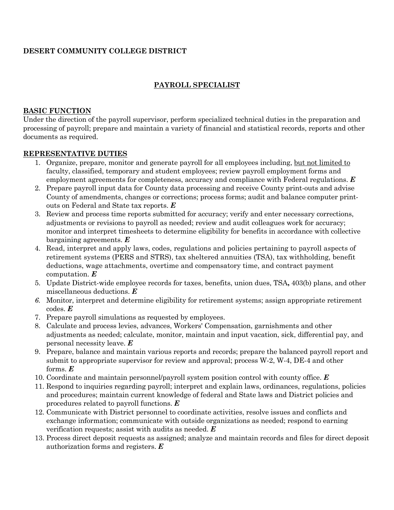# **DESERT COMMUNITY COLLEGE DISTRICT**

## **PAYROLL SPECIALIST**

#### **BASIC FUNCTION**

Under the direction of the payroll supervisor, perform specialized technical duties in the preparation and processing of payroll; prepare and maintain a variety of financial and statistical records, reports and other documents as required.

#### **REPRESENTATIVE DUTIES**

- 1. Organize, prepare, monitor and generate payroll for all employees including, but not limited to faculty, classified, temporary and student employees; review payroll employment forms and employment agreements for completeness, accuracy and compliance with Federal regulations. *E*
- 2. Prepare payroll input data for County data processing and receive County print-outs and advise County of amendments, changes or corrections; process forms; audit and balance computer printouts on Federal and State tax reports. *E*
- 3. Review and process time reports submitted for accuracy; verify and enter necessary corrections, adjustments or revisions to payroll as needed; review and audit colleagues work for accuracy; monitor and interpret timesheets to determine eligibility for benefits in accordance with collective bargaining agreements. *E*
- 4. Read, interpret and apply laws, codes, regulations and policies pertaining to payroll aspects of retirement systems (PERS and STRS), tax sheltered annuities (TSA), tax withholding, benefit deductions, wage attachments, overtime and compensatory time, and contract payment computation. *E*
- 5. Update District-wide employee records for taxes, benefits, union dues, TSA**,** 403(b) plans, and other miscellaneous deductions. *E*
- *6.* Monitor, interpret and determine eligibility for retirement systems; assign appropriate retirement codes. *E*
- 7. Prepare payroll simulations as requested by employees.
- 8. Calculate and process levies, advances, Workers' Compensation, garnishments and other adjustments as needed; calculate, monitor, maintain and input vacation, sick, differential pay, and personal necessity leave. *E*
- 9. Prepare, balance and maintain various reports and records; prepare the balanced payroll report and submit to appropriate supervisor for review and approval; process W-2, W-4, DE-4 and other forms. *E*
- 10. Coordinate and maintain personnel/payroll system position control with county office. *E*
- 11. Respond to inquiries regarding payroll; interpret and explain laws, ordinances, regulations, policies and procedures; maintain current knowledge of federal and State laws and District policies and procedures related to payroll functions. *E*
- 12. Communicate with District personnel to coordinate activities, resolve issues and conflicts and exchange information; communicate with outside organizations as needed; respond to earning verification requests; assist with audits as needed. *E*
- 13. Process direct deposit requests as assigned; analyze and maintain records and files for direct deposit authorization forms and registers. *E*